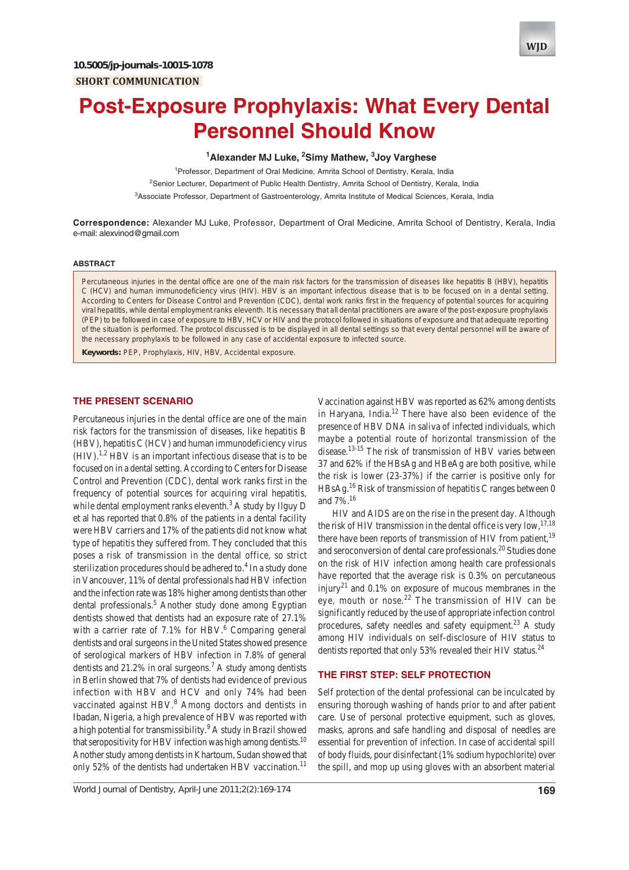

# **Post-Exposure Prophylaxis: What Every Dental Personnel Should Know**

## **1 Alexander MJ Luke, 2 Simy Mathew, 3 Joy Varghese**

<sup>1</sup> Professor, Department of Oral Medicine, Amrita School of Dentistry, Kerala, India <sup>2</sup>Senior Lecturer, Department of Public Health Dentistry, Amrita School of Dentistry, Kerala, India

<sup>3</sup>Associate Professor, Department of Gastroenterology, Amrita Institute of Medical Sciences, Kerala, India

**Correspondence:** Alexander MJ Luke, Professor, Department of Oral Medicine, Amrita School of Dentistry, Kerala, India e-mail: alexvinod@gmail.com

#### **ABSTRACT**

Percutaneous injuries in the dental office are one of the main risk factors for the transmission of diseases like hepatitis B (HBV), hepatitis C (HCV) and human immunodeficiency virus (HIV). HBV is an important infectious disease that is to be focused on in a dental setting. According to Centers for Disease Control and Prevention (CDC), dental work ranks first in the frequency of potential sources for acquiring viral hepatitis, while dental employment ranks eleventh. It is necessary that all dental practitioners are aware of the post-exposure prophylaxis (PEP) to be followed in case of exposure to HBV, HCV or HIV and the protocol followed in situations of exposure and that adequate reporting of the situation is performed. The protocol discussed is to be displayed in all dental settings so that every dental personnel will be aware of the necessary prophylaxis to be followed in any case of accidental exposure to infected source.

**Keywords:** PEP, Prophylaxis, HIV, HBV, Accidental exposure.

## **THE PRESENT SCENARIO**

Percutaneous injuries in the dental office are one of the main risk factors for the transmission of diseases, like hepatitis B (HBV), hepatitis C (HCV) and human immunodeficiency virus  $(HIV).<sup>1,2</sup> HBV$  is an important infectious disease that is to be focused on in a dental setting. According to Centers for Disease Control and Prevention (CDC), dental work ranks first in the frequency of potential sources for acquiring viral hepatitis, while dental employment ranks eleventh. $3$  A study by Ilguy D et al has reported that 0.8% of the patients in a dental facility were HBV carriers and 17% of the patients did not know what type of hepatitis they suffered from. They concluded that this poses a risk of transmission in the dental office, so strict sterilization procedures should be adhered to.<sup>4</sup> In a study done in Vancouver, 11% of dental professionals had HBV infection and the infection rate was 18% higher among dentists than other dental professionals.<sup>5</sup> Another study done among Egyptian dentists showed that dentists had an exposure rate of 27.1% with a carrier rate of  $7.1\%$  for HBV.<sup>6</sup> Comparing general dentists and oral surgeons in the United States showed presence of serological markers of HBV infection in 7.8% of general dentists and 21.2% in oral surgeons.<sup>7</sup> A study among dentists in Berlin showed that 7% of dentists had evidence of previous infection with HBV and HCV and only 74% had been vaccinated against HBV.<sup>8</sup> Among doctors and dentists in Ibadan, Nigeria, a high prevalence of HBV was reported with a high potential for transmissibility.<sup>9</sup> A study in Brazil showed that seropositivity for HBV infection was high among dentists.<sup>10</sup> Another study among dentists in Khartoum, Sudan showed that only 52% of the dentists had undertaken HBV vaccination.<sup>11</sup>

*World Journal of Dentistry, April-June 2011;2(2):169-174* **169**

Vaccination against HBV was reported as 62% among dentists in Haryana, India. $12$  There have also been evidence of the presence of HBV DNA in saliva of infected individuals, which maybe a potential route of horizontal transmission of the disease.<sup>13-15</sup> The risk of transmission of HBV varies between 37 and 62% if the HBsAg and HBeAg are both positive, while the risk is lower (23-37%) if the carrier is positive only for  $HBsAg.<sup>16</sup> Risk of transmission of hepatitis C ranges between 0$ and 7%.16

HIV and AIDS are on the rise in the present day. Although the risk of HIV transmission in the dental office is very low,  $17,18$ there have been reports of transmission of HIV from patient,<sup>19</sup> and seroconversion of dental care professionals.<sup>20</sup> Studies done on the risk of HIV infection among health care professionals have reported that the average risk is 0.3% on percutaneous injury<sup>21</sup> and 0.1% on exposure of mucous membranes in the eye, mouth or nose.<sup>22</sup> The transmission of HIV can be significantly reduced by the use of appropriate infection control procedures, safety needles and safety equipment.<sup>23</sup> A study among HIV individuals on self-disclosure of HIV status to dentists reported that only 53% revealed their HIV status.<sup>24</sup>

## **THE FIRST STEP: SELF PROTECTION**

Self protection of the dental professional can be inculcated by ensuring thorough washing of hands prior to and after patient care. Use of personal protective equipment, such as gloves, masks, aprons and safe handling and disposal of needles are essential for prevention of infection. In case of accidental spill of body fluids, pour disinfectant (1% sodium hypochlorite) over the spill, and mop up using gloves with an absorbent material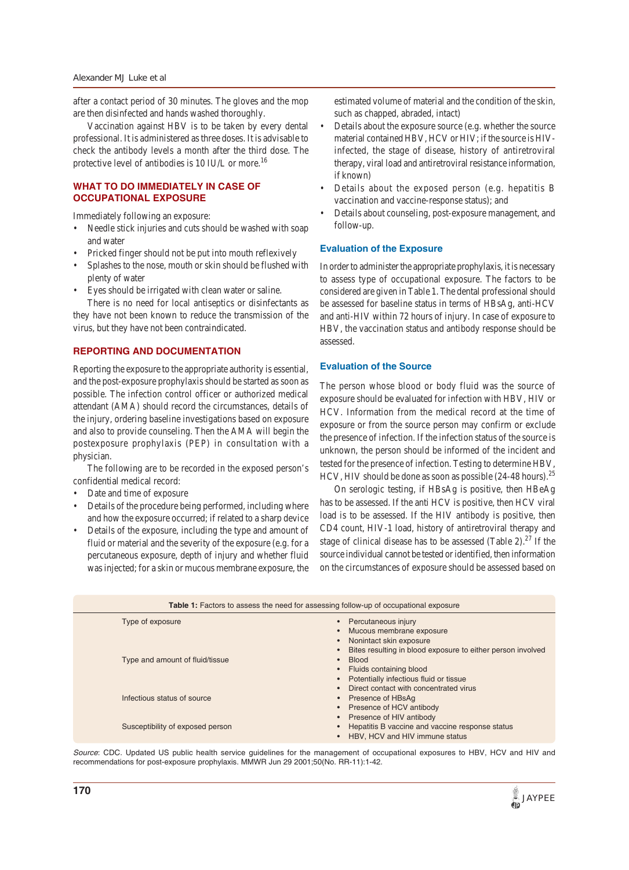after a contact period of 30 minutes. The gloves and the mop are then disinfected and hands washed thoroughly.

Vaccination against HBV is to be taken by every dental professional. It is administered as three doses. It is advisable to check the antibody levels a month after the third dose. The protective level of antibodies is 10 IU/L or more.<sup>16</sup>

## **WHAT TO DO IMMEDIATELY IN CASE OF OCCUPATIONAL EXPOSURE**

Immediately following an exposure:

- Needle stick injuries and cuts should be washed with soap and water
- Pricked finger should not be put into mouth reflexively
- Splashes to the nose, mouth or skin should be flushed with plenty of water
- Eyes should be irrigated with clean water or saline.

There is no need for local antiseptics or disinfectants as they have not been known to reduce the transmission of the virus, but they have not been contraindicated.

## **REPORTING AND DOCUMENTATION**

Reporting the exposure to the appropriate authority is essential, and the post-exposure prophylaxis should be started as soon as possible. The infection control officer or authorized medical attendant (AMA) should record the circumstances, details of the injury, ordering baseline investigations based on exposure and also to provide counseling. Then the AMA will begin the postexposure prophylaxis (PEP) in consultation with a physician.

The following are to be recorded in the exposed person's confidential medical record:

- Date and time of exposure
- Details of the procedure being performed, including where and how the exposure occurred; if related to a sharp device
- Details of the exposure, including the type and amount of fluid or material and the severity of the exposure (e.g. for a percutaneous exposure, depth of injury and whether fluid was injected; for a skin or mucous membrane exposure, the

estimated volume of material and the condition of the skin, such as chapped, abraded, intact)

- Details about the exposure source (e.g. whether the source material contained HBV, HCV or HIV; if the source is HIVinfected, the stage of disease, history of antiretroviral therapy, viral load and antiretroviral resistance information, if known)
- Details about the exposed person (e.g. hepatitis B vaccination and vaccine-response status); and
- Details about counseling, post-exposure management, and follow-up.

#### **Evaluation of the Exposure**

In order to administer the appropriate prophylaxis, it is necessary to assess type of occupational exposure. The factors to be considered are given in Table 1. The dental professional should be assessed for baseline status in terms of HBsAg, anti-HCV and anti-HIV within 72 hours of injury. In case of exposure to HBV, the vaccination status and antibody response should be assessed.

## **Evaluation of the Source**

The person whose blood or body fluid was the source of exposure should be evaluated for infection with HBV, HIV or HCV. Information from the medical record at the time of exposure or from the source person may confirm or exclude the presence of infection. If the infection status of the source is unknown, the person should be informed of the incident and tested for the presence of infection. Testing to determine HBV, HCV, HIV should be done as soon as possible  $(24-48 \text{ hours})^{25}$ 

On serologic testing, if HBsAg is positive, then HBeAg has to be assessed. If the anti HCV is positive, then HCV viral load is to be assessed. If the HIV antibody is positive, then CD4 count, HIV-1 load, history of antiretroviral therapy and stage of clinical disease has to be assessed (Table 2). $^{27}$  If the source individual cannot be tested or identified, then information on the circumstances of exposure should be assessed based on

| <b>Table 1:</b> Factors to assess the need for assessing follow-up of occupational exposure |                                                                                                                                           |  |  |
|---------------------------------------------------------------------------------------------|-------------------------------------------------------------------------------------------------------------------------------------------|--|--|
| Type of exposure                                                                            | Percutaneous injury<br>Mucous membrane exposure<br>Nonintact skin exposure<br>Bites resulting in blood exposure to either person involved |  |  |
| Type and amount of fluid/tissue                                                             | <b>Blood</b><br>Fluids containing blood<br>Potentially infectious fluid or tissue<br>Direct contact with concentrated virus               |  |  |
| Infectious status of source                                                                 | Presence of HBsAg<br>Presence of HCV antibody                                                                                             |  |  |
| Susceptibility of exposed person                                                            | Presence of HIV antibody<br>Hepatitis B vaccine and vaccine response status<br>HBV, HCV and HIV immune status                             |  |  |

*Source*: CDC. Updated US public health service guidelines for the management of occupational exposures to HBV, HCV and HIV and recommendations for post-exposure prophylaxis. MMWR Jun 29 2001;50(No. RR-11):1-42.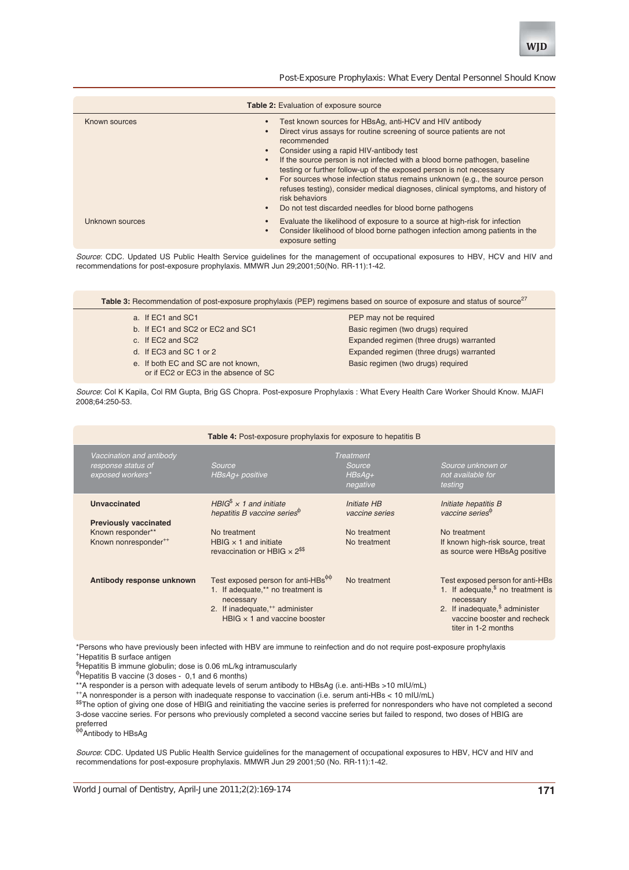

*Post-Exposure Prophylaxis: What Every Dental Personnel Should Know*

| <b>Table 2:</b> Evaluation of exposure source |                                                                                                                                                                                                                                                                                                                                                                                                                                                                                                                                                                                                |  |  |  |
|-----------------------------------------------|------------------------------------------------------------------------------------------------------------------------------------------------------------------------------------------------------------------------------------------------------------------------------------------------------------------------------------------------------------------------------------------------------------------------------------------------------------------------------------------------------------------------------------------------------------------------------------------------|--|--|--|
| Known sources                                 | Test known sources for HBsAg, anti-HCV and HIV antibody<br>Direct virus assays for routine screening of source patients are not<br>recommended<br>Consider using a rapid HIV-antibody test<br>If the source person is not infected with a blood borne pathogen, baseline<br>testing or further follow-up of the exposed person is not necessary<br>For sources whose infection status remains unknown (e.g., the source person<br>refuses testing), consider medical diagnoses, clinical symptoms, and history of<br>risk behaviors<br>Do not test discarded needles for blood borne pathogens |  |  |  |
| Unknown sources                               | Evaluate the likelihood of exposure to a source at high-risk for infection<br>Consider likelihood of blood borne pathogen infection among patients in the<br>exposure setting                                                                                                                                                                                                                                                                                                                                                                                                                  |  |  |  |

*Source*: CDC. Updated US Public Health Service guidelines for the management of occupational exposures to HBV, HCV and HIV and recommendations for post-exposure prophylaxis. MMWR Jun 29;2001;50(No. RR-11):1-42.

Table 3: Recommendation of post-exposure prophylaxis (PEP) regimens based on source of exposure and status of source<sup>27</sup>

- a. If EC1 and SC1 **PEP** may not be required
- 
- 
- - - or if EC2 or EC3 in the absence of SC

b. If EC1 and SC2 or EC2 and SC1 Basic regimen (two drugs) required c. If EC2 and SC2 Expanded regimen (three drugs) warranted d. If EC3 and SC 1 or 2 Expanded regimen (three drugs) warranted e. If both EC and SC are not known, Basic regimen (two drugs) required

*Source*: Col K Kapila, Col RM Gupta, Brig GS Chopra. Post-exposure Prophylaxis : What Every Health Care Worker Should Know. MJAFI 2008;64:250-53.

| <b>Table 4:</b> Post-exposure prophylaxis for exposure to hepatitis B                                        |                                                                                                                                                                                                          |                                                               |                                                                                                                                                                                |  |  |
|--------------------------------------------------------------------------------------------------------------|----------------------------------------------------------------------------------------------------------------------------------------------------------------------------------------------------------|---------------------------------------------------------------|--------------------------------------------------------------------------------------------------------------------------------------------------------------------------------|--|--|
| Vaccination and antibody<br>response status of<br>exposed workers*                                           | Source<br>HBsAg+ positive                                                                                                                                                                                | <b>Treatment</b><br>Source<br>$HBSAg+$<br>negative            | Source unknown or<br>not available for<br>testing                                                                                                                              |  |  |
| <b>Unvaccinated</b><br><b>Previously vaccinated</b><br>Known responder**<br>Known nonresponder <sup>++</sup> | HBIG <sup>\$</sup> $\times$ 1 and initiate<br>hepatitis B vaccine series <sup>®</sup><br>No treatment<br>HBIG $\times$ 1 and initiate<br>revaccination or HBIG $\times 2^{ss}$                           | Initiate HB<br>vaccine series<br>No treatment<br>No treatment | Initiate hepatitis B<br>vaccine series $\mathbb{P}$<br>No treatment<br>If known high-risk source, treat<br>as source were HBsAg positive                                       |  |  |
| Antibody response unknown                                                                                    | Test exposed person for anti-HBs <sup><math>\phi\phi</math></sup><br>1. If adequate,** no treatment is<br>necessary<br>2. If inadequate, <sup>++</sup> administer<br>HBIG $\times$ 1 and vaccine booster | No treatment                                                  | Test exposed person for anti-HBs<br>1. If adequate, $§$ no treatment is<br>necessary<br>2. If inadequate, $$$ administer<br>vaccine booster and recheck<br>titer in 1-2 months |  |  |

\*Persons who have previously been infected with HBV are immune to reinfection and do not require post-exposure prophylaxis +Hepatitis B surface antigen

\$ Hepatitis B immune globulin; dose is 0.06 mL/kg intramuscularly

φ Hepatitis B vaccine (3 doses - 0,1 and 6 months)

\*\*A responder is a person with adequate levels of serum antibody to HBsAg (i.e. anti-HBs >10 mIU/mL)

++A nonresponder is a person with inadequate response to vaccination (i.e. serum anti-HBs < 10 mIU/mL)

\$\$The option of giving one dose of HBIG and reinitiating the vaccine series is preferred for nonresponders who have not completed a second 3-dose vaccine series. For persons who previously completed a second vaccine series but failed to respond, two doses of HBIG are preferred<br><sup>φφ</sup>Antibody to HBsAg

*Source*: CDC. Updated US Public Health Service guidelines for the management of occupational exposures to HBV, HCV and HIV and recommendations for post-exposure prophylaxis. MMWR Jun 29 2001;50 (No. RR-11):1-42.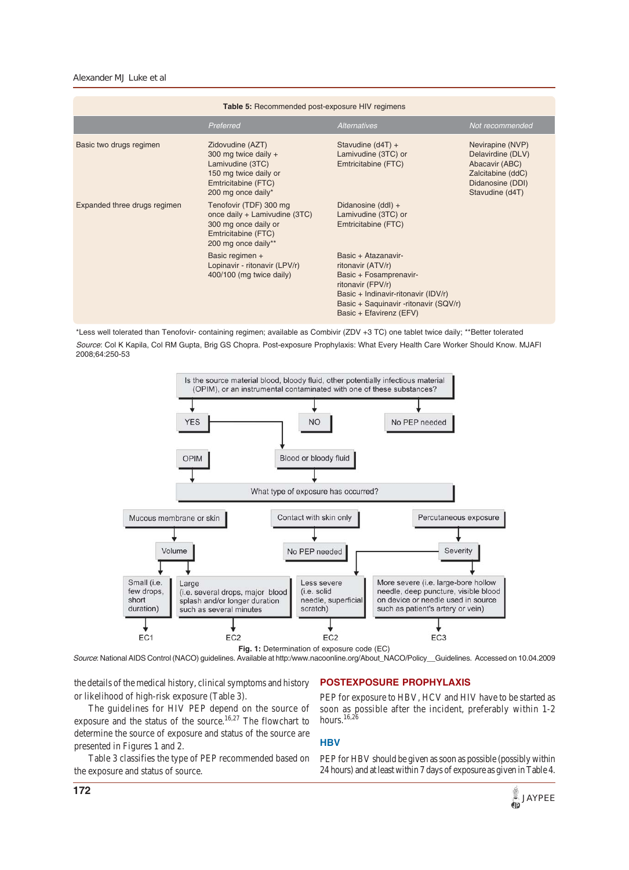#### *Alexander MJ Luke et al*

| <b>Table 5: Recommended post-exposure HIV regimens</b> |                                                                                                                                    |                                                                                                                                                                                                    |                                                                                                                     |  |  |
|--------------------------------------------------------|------------------------------------------------------------------------------------------------------------------------------------|----------------------------------------------------------------------------------------------------------------------------------------------------------------------------------------------------|---------------------------------------------------------------------------------------------------------------------|--|--|
|                                                        | Preferred                                                                                                                          | <b>Alternatives</b>                                                                                                                                                                                | Not recommended                                                                                                     |  |  |
| Basic two drugs regimen                                | Zidovudine (AZT)<br>300 mg twice daily +<br>Lamivudine (3TC)<br>150 mg twice daily or<br>Emtricitabine (FTC)<br>200 mg once daily* | Stavudine (d4T) +<br>Lamivudine (3TC) or<br>Emtricitabine (FTC)                                                                                                                                    | Nevirapine (NVP)<br>Delavirdine (DLV)<br>Abacavir (ABC)<br>Zalcitabine (ddC)<br>Didanosine (DDI)<br>Stavudine (d4T) |  |  |
| Expanded three drugs regimen                           | Tenofovir (TDF) 300 mg<br>once daily + Lamivudine (3TC)<br>300 mg once daily or<br>Emtricitabine (FTC)<br>200 mg once daily**      | Didanosine (ddl) +<br>Lamivudine (3TC) or<br>Emtricitabine (FTC)                                                                                                                                   |                                                                                                                     |  |  |
|                                                        | Basic regimen +<br>Lopinavir - ritonavir (LPV/r)<br>400/100 (mg twice daily)                                                       | Basic + Atazanavir-<br>ritonavir (ATV/r)<br>Basic + Fosamprenavir-<br>ritonavir (FPV/r)<br>Basic + Indinavir-ritonavir (IDV/r)<br>Basic + Saquinavir -ritonavir (SQV/r)<br>Basic + Efavirenz (EFV) |                                                                                                                     |  |  |

\*Less well tolerated than Tenofovir- containing regimen; available as Combivir (ZDV +3 TC) one tablet twice daily; \*\*Better tolerated *Source*: Col K Kapila, Col RM Gupta, Brig GS Chopra. Post-exposure Prophylaxis: What Every Health Care Worker Should Know. MJAFI 2008;64:250-53



**Fig. 1:** Determination of exposure code (EC) *Source*: National AIDS Control (NACO) guidelines. Available at http:/www.nacoonline.org/About\_NACO/Policy\_\_Guidelines. Accessed on 10.04.2009

the details of the medical history, clinical symptoms and history or likelihood of high-risk exposure (Table 3).

The guidelines for HIV PEP depend on the source of exposure and the status of the source.16,27 The flowchart to determine the source of exposure and status of the source are presented in Figures 1 and 2.

Table 3 classifies the type of PEP recommended based on the exposure and status of source.

## **POSTEXPOSURE PROPHYLAXIS**

PEP for exposure to HBV, HCV and HIV have to be started as soon as possible after the incident, preferably within 1-2 hours.<sup>16,26</sup>

## **HBV**

PEP for HBV should be given as soon as possible (possibly within 24 hours) and at least within 7 days of exposure as given in Table 4.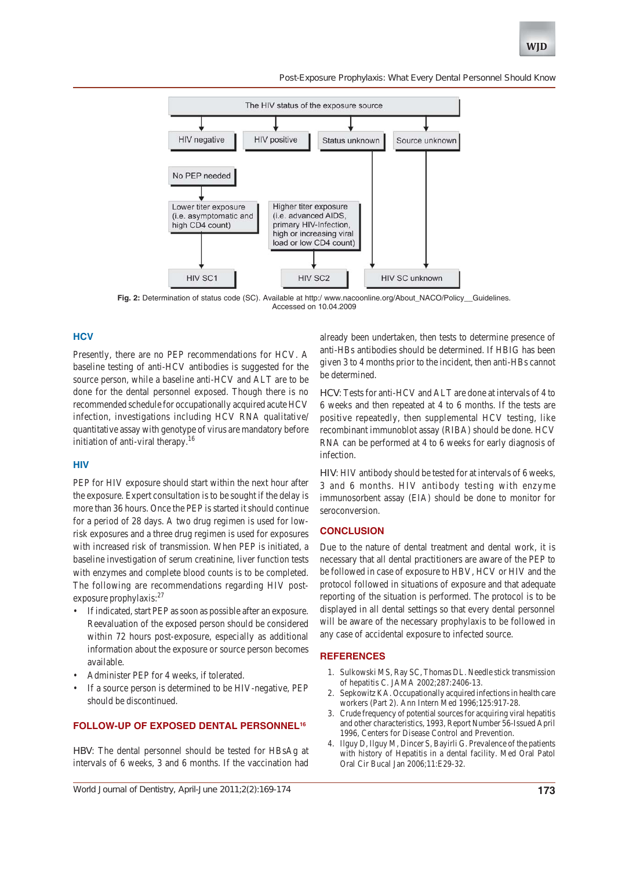*Post-Exposure Prophylaxis: What Every Dental Personnel Should Know*



**Fig. 2:** Determination of status code (SC). Available at http:/ www.nacoonline.org/About\_NACO/Policy\_\_Guidelines. Accessed on 10.04.2009

## **HCV**

Presently, there are no PEP recommendations for HCV. A baseline testing of anti-HCV antibodies is suggested for the source person, while a baseline anti-HCV and ALT are to be done for the dental personnel exposed. Though there is no recommended schedule for occupationally acquired acute HCV infection, investigations including HCV RNA qualitative/ quantitative assay with genotype of virus are mandatory before initiation of anti-viral therapy.<sup>16</sup>

### **HIV**

PEP for HIV exposure should start within the next hour after the exposure. Expert consultation is to be sought if the delay is more than 36 hours. Once the PEP is started it should continue for a period of 28 days. A two drug regimen is used for lowrisk exposures and a three drug regimen is used for exposures with increased risk of transmission. When PEP is initiated, a baseline investigation of serum creatinine, liver function tests with enzymes and complete blood counts is to be completed. The following are recommendations regarding HIV postexposure prophylaxis:<sup>27</sup>

- If indicated, start PEP as soon as possible after an exposure. Reevaluation of the exposed person should be considered within 72 hours post-exposure, especially as additional information about the exposure or source person becomes available.
- Administer PEP for 4 weeks, if tolerated.
- If a source person is determined to be HIV-negative, PEP should be discontinued.

## **FOLLOW-UP OF EXPOSED DENTAL PERSONNEL16**

*HBV*: The dental personnel should be tested for HBsAg at intervals of 6 weeks, 3 and 6 months. If the vaccination had

already been undertaken, then tests to determine presence of anti-HBs antibodies should be determined. If HBIG has been given 3 to 4 months prior to the incident, then anti-HBs cannot be determined.

*HCV*: Tests for anti-HCV and ALT are done at intervals of 4 to 6 weeks and then repeated at 4 to 6 months. If the tests are positive repeatedly, then supplemental HCV testing, like recombinant immunoblot assay (RIBA) should be done. HCV RNA can be performed at 4 to 6 weeks for early diagnosis of infection.

*HIV*: HIV antibody should be tested for at intervals of 6 weeks, 3 and 6 months. HIV antibody testing with enzyme immunosorbent assay (EIA) should be done to monitor for seroconversion.

## **CONCLUSION**

Due to the nature of dental treatment and dental work, it is necessary that all dental practitioners are aware of the PEP to be followed in case of exposure to HBV, HCV or HIV and the protocol followed in situations of exposure and that adequate reporting of the situation is performed. The protocol is to be displayed in all dental settings so that every dental personnel will be aware of the necessary prophylaxis to be followed in any case of accidental exposure to infected source.

## **REFERENCES**

- 1. Sulkowski MS, Ray SC, Thomas DL. Needle stick transmission of hepatitis C. JAMA 2002;287:2406-13.
- 2. Sepkowitz KA. Occupationally acquired infections in health care workers (Part 2). Ann Intern Med 1996;125:917-28.
- 3. Crude frequency of potential sources for acquiring viral hepatitis and other characteristics, 1993, Report Number 56-Issued April 1996, Centers for Disease Control and Prevention.
- 4. Ilguy D, Ilguy M, Dincer S, Bayirli G. Prevalence of the patients with history of Hepatitis in a dental facility. Med Oral Patol Oral Cir Bucal Jan 2006;11:E29-32.